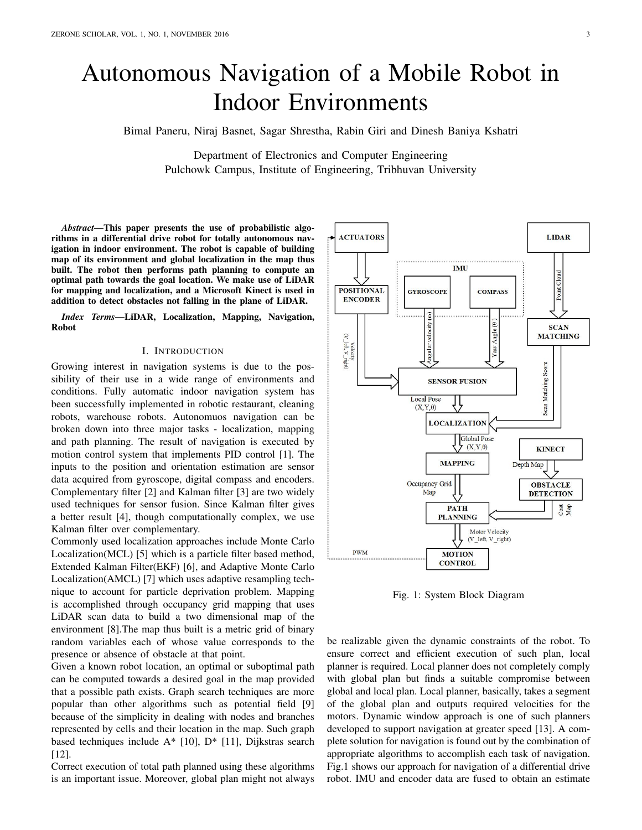# Autonomous Navigation of a Mobile Robot in Indoor Environments

Bimal Paneru, Niraj Basnet, Sagar Shrestha, Rabin Giri and Dinesh Baniya Kshatri

Department of Electronics and Computer Engineering Pulchowk Campus, Institute of Engineering, Tribhuvan University

*Abstract*—This paper presents the use of probabilistic algorithms in a differential drive robot for totally autonomous navigation in indoor environment. The robot is capable of building map of its environment and global localization in the map thus built. The robot then performs path planning to compute an optimal path towards the goal location. We make use of LiDAR for mapping and localization, and a Microsoft Kinect is used in addition to detect obstacles not falling in the plane of LiDAR.

*Index Terms*—LiDAR, Localization, Mapping, Navigation, Robot

### I. INTRODUCTION

Growing interest in navigation systems is due to the possibility of their use in a wide range of environments and conditions. Fully automatic indoor navigation system has been successfully implemented in robotic restaurant, cleaning robots, warehouse robots. Autonomuos navigation can be broken down into three major tasks - localization, mapping and path planning. The result of navigation is executed by motion control system that implements PID control [1]. The inputs to the position and orientation estimation are sensor data acquired from gyroscope, digital compass and encoders. Complementary filter [2] and Kalman filter [3] are two widely used techniques for sensor fusion. Since Kalman filter gives a better result [4], though computationally complex, we use Kalman filter over complementary.

Commonly used localization approaches include Monte Carlo Localization(MCL) [5] which is a particle filter based method, Extended Kalman Filter(EKF) [6], and Adaptive Monte Carlo Localization(AMCL) [7] which uses adaptive resampling technique to account for particle deprivation problem. Mapping is accomplished through occupancy grid mapping that uses LiDAR scan data to build a two dimensional map of the environment [8].The map thus built is a metric grid of binary random variables each of whose value corresponds to the presence or absence of obstacle at that point.

Given a known robot location, an optimal or suboptimal path can be computed towards a desired goal in the map provided that a possible path exists. Graph search techniques are more popular than other algorithms such as potential field [9] because of the simplicity in dealing with nodes and branches represented by cells and their location in the map. Such graph based techniques include  $A^*$  [10],  $D^*$  [11], Dijkstras search [12].

Correct execution of total path planned using these algorithms is an important issue. Moreover, global plan might not always



Fig. 1: System Block Diagram

be realizable given the dynamic constraints of the robot. To ensure correct and efficient execution of such plan, local planner is required. Local planner does not completely comply with global plan but finds a suitable compromise between global and local plan. Local planner, basically, takes a segment of the global plan and outputs required velocities for the motors. Dynamic window approach is one of such planners developed to support navigation at greater speed [13]. A complete solution for navigation is found out by the combination of appropriate algorithms to accomplish each task of navigation. Fig.1 shows our approach for navigation of a differential drive robot. IMU and encoder data are fused to obtain an estimate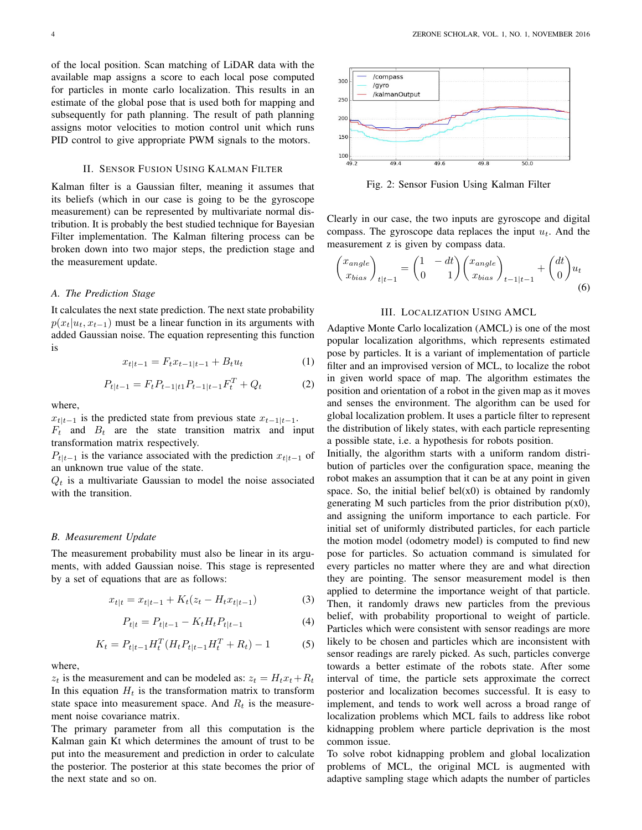of the local position. Scan matching of LiDAR data with the available map assigns a score to each local pose computed for particles in monte carlo localization. This results in an estimate of the global pose that is used both for mapping and subsequently for path planning. The result of path planning assigns motor velocities to motion control unit which runs PID control to give appropriate PWM signals to the motors.

#### II. SENSOR FUSION USING KALMAN FILTER

Kalman filter is a Gaussian filter, meaning it assumes that its beliefs (which in our case is going to be the gyroscope measurement) can be represented by multivariate normal distribution. It is probably the best studied technique for Bayesian Filter implementation. The Kalman filtering process can be broken down into two major steps, the prediction stage and the measurement update.

## *A. The Prediction Stage*

It calculates the next state prediction. The next state probability  $p(x_t|u_t, x_{t-1})$  must be a linear function in its arguments with added Gaussian noise. The equation representing this function is

$$
x_{t|t-1} = F_t x_{t-1|t-1} + B_t u_t \tag{1}
$$

$$
P_{t|t-1} = F_t P_{t-1|t} P_{t-1|t-1} F_t^T + Q_t \tag{2}
$$

where,

 $x_{t|t-1}$  is the predicted state from previous state  $x_{t-1|t-1}$ .  $F_t$  and  $B_t$  are the state transition matrix and input transformation matrix respectively.

 $P_{t|t-1}$  is the variance associated with the prediction  $x_{t|t-1}$  of an unknown true value of the state.

 $Q_t$  is a multivariate Gaussian to model the noise associated with the transition.

## *B. Measurement Update*

The measurement probability must also be linear in its arguments, with added Gaussian noise. This stage is represented by a set of equations that are as follows:

$$
x_{t|t} = x_{t|t-1} + K_t(z_t - H_t x_{t|t-1})
$$
\n(3)

$$
P_{t|t} = P_{t|t-1} - K_t H_t P_{t|t-1}
$$
\n(4)

$$
K_t = P_{t|t-1} H_t^T (H_t P_{t|t-1} H_t^T + R_t) - 1 \tag{5}
$$

where,

 $z_t$  is the measurement and can be modeled as:  $z_t = H_t x_t + R_t$ In this equation  $H_t$  is the transformation matrix to transform state space into measurement space. And  $R_t$  is the measurement noise covariance matrix.

The primary parameter from all this computation is the Kalman gain Kt which determines the amount of trust to be put into the measurement and prediction in order to calculate the posterior. The posterior at this state becomes the prior of the next state and so on.



Fig. 2: Sensor Fusion Using Kalman Filter

Clearly in our case, the two inputs are gyroscope and digital compass. The gyroscope data replaces the input  $u_t$ . And the measurement z is given by compass data.

$$
\begin{pmatrix} x_{angle} \\ x_{bias} \end{pmatrix}_{t|t-1} = \begin{pmatrix} 1 & -dt \\ 0 & 1 \end{pmatrix} \begin{pmatrix} x_{angle} \\ x_{bias} \end{pmatrix}_{t-1|t-1} + \begin{pmatrix} dt \\ 0 \end{pmatrix} u_t
$$
\n(6)

## III. LOCALIZATION USING AMCL

Adaptive Monte Carlo localization (AMCL) is one of the most popular localization algorithms, which represents estimated pose by particles. It is a variant of implementation of particle filter and an improvised version of MCL, to localize the robot in given world space of map. The algorithm estimates the position and orientation of a robot in the given map as it moves and senses the environment. The algorithm can be used for global localization problem. It uses a particle filter to represent the distribution of likely states, with each particle representing a possible state, i.e. a hypothesis for robots position.

Initially, the algorithm starts with a uniform random distribution of particles over the configuration space, meaning the robot makes an assumption that it can be at any point in given space. So, the initial belief bel $(x0)$  is obtained by randomly generating M such particles from the prior distribution  $p(x0)$ , and assigning the uniform importance to each particle. For initial set of uniformly distributed particles, for each particle the motion model (odometry model) is computed to find new pose for particles. So actuation command is simulated for every particles no matter where they are and what direction they are pointing. The sensor measurement model is then applied to determine the importance weight of that particle. Then, it randomly draws new particles from the previous belief, with probability proportional to weight of particle. Particles which were consistent with sensor readings are more likely to be chosen and particles which are inconsistent with sensor readings are rarely picked. As such, particles converge towards a better estimate of the robots state. After some interval of time, the particle sets approximate the correct posterior and localization becomes successful. It is easy to implement, and tends to work well across a broad range of localization problems which MCL fails to address like robot kidnapping problem where particle deprivation is the most common issue.

To solve robot kidnapping problem and global localization problems of MCL, the original MCL is augmented with adaptive sampling stage which adapts the number of particles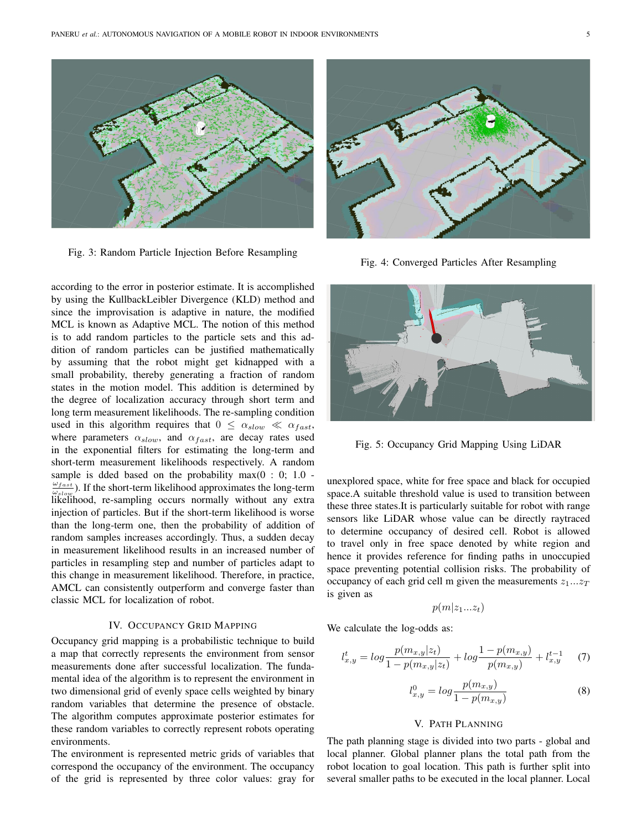

Fig. 3: Random Particle Injection Before Resampling

according to the error in posterior estimate. It is accomplished by using the KullbackLeibler Divergence (KLD) method and since the improvisation is adaptive in nature, the modified MCL is known as Adaptive MCL. The notion of this method is to add random particles to the particle sets and this addition of random particles can be justified mathematically by assuming that the robot might get kidnapped with a small probability, thereby generating a fraction of random states in the motion model. This addition is determined by the degree of localization accuracy through short term and long term measurement likelihoods. The re-sampling condition used in this algorithm requires that  $0 \leq \alpha_{slow} \ll \alpha_{fast}$ , where parameters  $\alpha_{slow}$ , and  $\alpha_{fast}$ , are decay rates used in the exponential filters for estimating the long-term and short-term measurement likelihoods respectively. A random sample is dded based on the probability max $(0:0:1.0$  - $\omega_{fast}$  $\frac{\omega_{fast}}{\omega_{slow}}$ ). If the short-term likelihood approximates the long-term likelihood, re-sampling occurs normally without any extra injection of particles. But if the short-term likelihood is worse than the long-term one, then the probability of addition of random samples increases accordingly. Thus, a sudden decay in measurement likelihood results in an increased number of particles in resampling step and number of particles adapt to this change in measurement likelihood. Therefore, in practice, AMCL can consistently outperform and converge faster than classic MCL for localization of robot.

#### IV. OCCUPANCY GRID MAPPING

Occupancy grid mapping is a probabilistic technique to build a map that correctly represents the environment from sensor measurements done after successful localization. The fundamental idea of the algorithm is to represent the environment in two dimensional grid of evenly space cells weighted by binary random variables that determine the presence of obstacle. The algorithm computes approximate posterior estimates for these random variables to correctly represent robots operating environments.

The environment is represented metric grids of variables that correspond the occupancy of the environment. The occupancy of the grid is represented by three color values: gray for



Fig. 4: Converged Particles After Resampling



Fig. 5: Occupancy Grid Mapping Using LiDAR

unexplored space, white for free space and black for occupied space.A suitable threshold value is used to transition between these three states.It is particularly suitable for robot with range sensors like LiDAR whose value can be directly raytraced to determine occupancy of desired cell. Robot is allowed to travel only in free space denoted by white region and hence it provides reference for finding paths in unoccupied space preventing potential collision risks. The probability of occupancy of each grid cell m given the measurements  $z_1...z_T$ is given as

$$
p(m|z_1...z_t)
$$

We calculate the log-odds as:

$$
l_{x,y}^t = \log \frac{p(m_{x,y}|z_t)}{1 - p(m_{x,y}|z_t)} + \log \frac{1 - p(m_{x,y})}{p(m_{x,y})} + l_{x,y}^{t-1} \tag{7}
$$

$$
l_{x,y}^0 = \log \frac{p(m_{x,y})}{1 - p(m_{x,y})}
$$
 (8)

#### V. PATH PLANNING

The path planning stage is divided into two parts - global and local planner. Global planner plans the total path from the robot location to goal location. This path is further split into several smaller paths to be executed in the local planner. Local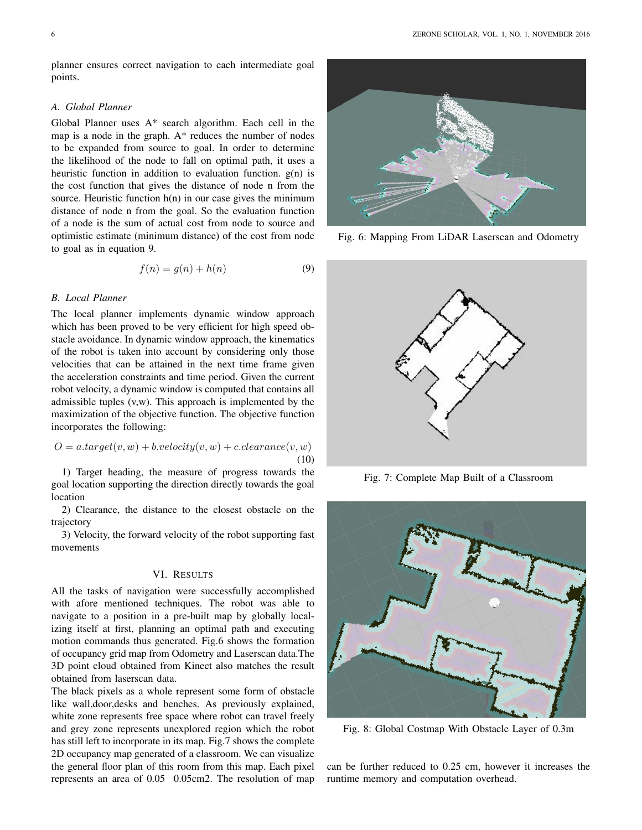planner ensures correct navigation to each intermediate goal points.

#### *A. Global Planner*

Global Planner uses A\* search algorithm. Each cell in the map is a node in the graph. A\* reduces the number of nodes to be expanded from source to goal. In order to determine the likelihood of the node to fall on optimal path, it uses a heuristic function in addition to evaluation function.  $g(n)$  is the cost function that gives the distance of node n from the source. Heuristic function  $h(n)$  in our case gives the minimum distance of node n from the goal. So the evaluation function of a node is the sum of actual cost from node to source and optimistic estimate (minimum distance) of the cost from node to goal as in equation 9.

$$
f(n) = g(n) + h(n) \tag{9}
$$

#### *B. Local Planner*

The local planner implements dynamic window approach which has been proved to be very efficient for high speed obstacle avoidance. In dynamic window approach, the kinematics of the robot is taken into account by considering only those velocities that can be attained in the next time frame given the acceleration constraints and time period. Given the current robot velocity, a dynamic window is computed that contains all admissible tuples (v,w). This approach is implemented by the maximization of the objective function. The objective function incorporates the following:

$$
O = a.target(v, w) + b.velociety(v, w) + c.clearance(v, w)
$$
  
(10)

1) Target heading, the measure of progress towards the goal location supporting the direction directly towards the goal location

2) Clearance, the distance to the closest obstacle on the trajectory

3) Velocity, the forward velocity of the robot supporting fast movements

#### VI. RESULTS

All the tasks of navigation were successfully accomplished with afore mentioned techniques. The robot was able to navigate to a position in a pre-built map by globally localizing itself at first, planning an optimal path and executing motion commands thus generated. Fig.6 shows the formation of occupancy grid map from Odometry and Laserscan data.The 3D point cloud obtained from Kinect also matches the result obtained from laserscan data.

The black pixels as a whole represent some form of obstacle like wall,door,desks and benches. As previously explained, white zone represents free space where robot can travel freely and grey zone represents unexplored region which the robot has still left to incorporate in its map. Fig.7 shows the complete 2D occupancy map generated of a classroom. We can visualize the general floor plan of this room from this map. Each pixel represents an area of 0.05 0.05cm2. The resolution of map



Fig. 6: Mapping From LiDAR Laserscan and Odometry



Fig. 7: Complete Map Built of a Classroom



Fig. 8: Global Costmap With Obstacle Layer of 0.3m

can be further reduced to 0.25 cm, however it increases the runtime memory and computation overhead.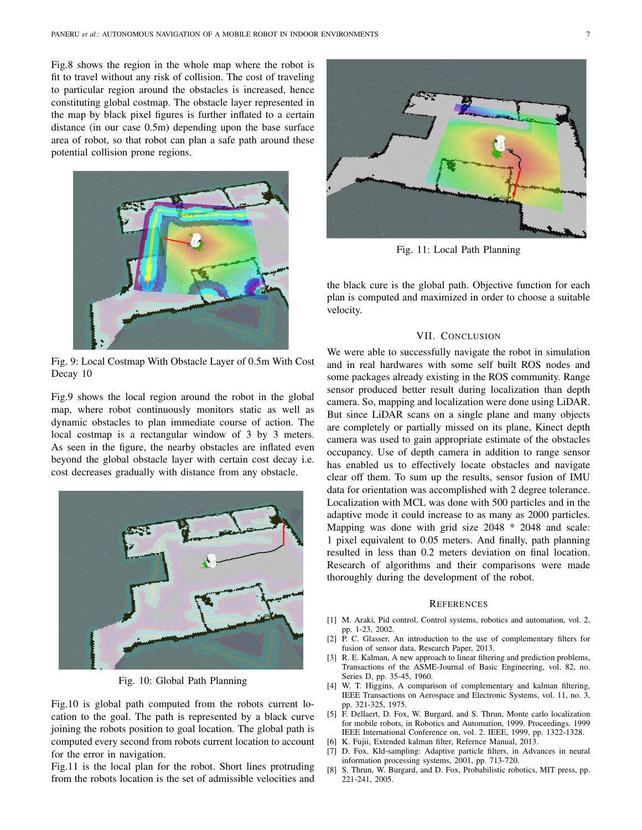Fig.8 shows the region in the whole map where the robot is fit to travel without any risk of collision. The cost of traveling to particular region around the obstacles is increased, hence constituting global costmap. The obstacle layer represented in the map by black pixel figures is further inflated to a certain distance (in our case 0.5m) depending upon the base surface area of robot, so that robot can plan a safe path around these potential collision prone regions.



Fig. 9: Local Costmap With Obstacle Layer of 0.5m With Cost Decay 10

Fig.9 shows the local region around the robot in the global map, where robot continuously monitors static as well as dynamic obstacles to plan immediate course of action. The local costmap is a rectangular window of 3 by 3 meters. As seen in the figure, the nearby obstacles are inflated even beyond the global obstacle layer with certain cost decay i.e. cost decreases gradually with distance from any obstacle.



Fig. 10: Global Path Planning

Fig.10 is global path computed from the robots current location to the goal. The path is represented by a black curve joining the robots position to goal location. The global path is computed every second from robots current location to account for the error in navigation.

Fig.11 is the local plan for the robot. Short lines protruding from the robots location is the set of admissible velocities and



Fig. 11: Local Path Planning

the black cure is the global path. Objective function for each plan is computed and maximized in order to choose a suitable velocity.

#### VII. CONCLUSION

We were able to successfully navigate the robot in simulation and in real hardwares with some self built ROS nodes and some packages already existing in the ROS community. Range sensor produced better result during localization than depth camera. So, mapping and localization were done using LiDAR. But since LiDAR scans on a single plane and many objects are completely or partially missed on its plane, Kinect depth camera was used to gain appropriate estimate of the obstacles occupancy. Use of depth camera in addition to range sensor has enabled us to effectively locate obstacles and navigate clear off them. To sum up the results, sensor fusion of IMU data for orientation was accomplished with 2 degree tolerance. Localization with MCL was done with 500 particles and in the adaptive mode it could increase to as many as 2000 particles. Mapping was done with grid size 2048 \* 2048 and scale: 1 pixel equivalent to 0.05 meters. And finally, path planning resulted in less than 0.2 meters deviation on final location. Research of algorithms and their comparisons were made thoroughly during the development of the robot.

#### **REFERENCES**

- [1] M. Araki, Pid control, Control systems, robotics and automation, vol. 2, pp. 1-23, 2002.
- P. C. Glasser, An introduction to the use of complementary filters for fusion of sensor data, Research Paper, 2013.
- [3] R. E. Kalman, A new approach to linear filtering and prediction problems, Transactions of the ASME-Journal of Basic Engineering, vol. 82, no. Series D, pp. 35-45, 1960.
- [4] W. T. Higgins, A comparison of complementary and kalman filtering, IEEE Transactions on Aerospace and Electronic Systems, vol. 11, no. 3, pp. 321-325, 1975.
- [5] F. Dellaert, D. Fox, W. Burgard, and S. Thrun, Monte carlo localization for mobile robots, in Robotics and Automation, 1999. Proceedings. 1999 IEEE International Conference on, vol. 2. IEEE, 1999, pp. 1322-1328.
- [6] K. Fujii, Extended kalman filter, Refernce Manual, 2013.
- [7] D. Fox, Kld-sampling: Adaptive particle filters, in Advances in neural information processing systems, 2001, pp. 713-720.
- [8] S. Thrun, W. Burgard, and D. Fox, Probabilistic robotics, MIT press, pp. 221-241, 2005.